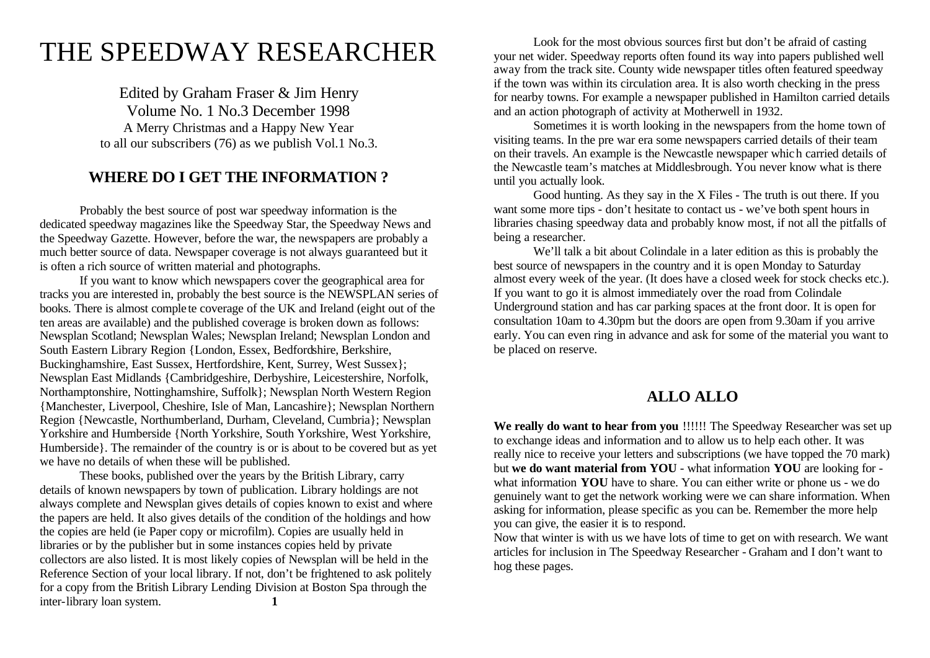# THE SPEEDWAY RESEARCHER

Edited by Graham Fraser & Jim Henry Volume No. 1 No.3 December 1998 A Merry Christmas and a Happy New Year to all our subscribers (76) as we publish Vol.1 No.3.

# **WHERE DO I GET THE INFORMATION ?**

 Probably the best source of post war speedway information is the dedicated speedway magazines like the Speedway Star, the Speedway News and the Speedway Gazette. However, before the war, the newspapers are probably a much better source of data. Newspaper coverage is not always guaranteed but it is often a rich source of written material and photographs.

If you want to know which newspapers cover the geographical area for tracks you are interested in, probably the best source is the NEWSPLAN series of books. There is almost comple te coverage of the UK and Ireland (eight out of the ten areas are available) and the published coverage is broken down as follows: Newsplan Scotland; Newsplan Wales; Newsplan Ireland; Newsplan London and South Eastern Library Region {London, Essex, Bedfordshire, Berkshire, Buckinghamshire, East Sussex, Hertfordshire, Kent, Surrey, West Sussex}; Newsplan East Midlands {Cambridgeshire, Derbyshire, Leicestershire, Norfolk, Northamptonshire, Nottinghamshire, Suffolk}; Newsplan North Western Region {Manchester, Liverpool, Cheshire, Isle of Man, Lancashire}; Newsplan Northern Region {Newcastle, Northumberland, Durham, Cleveland, Cumbria}; Newsplan Yorkshire and Humberside {North Yorkshire, South Yorkshire, West Yorkshire, Humberside}. The remainder of the country is or is about to be covered but as yet we have no details of when these will be published.

These books, published over the years by the British Library, carry details of known newspapers by town of publication. Library holdings are not always complete and Newsplan gives details of copies known to exist and where the papers are held. It also gives details of the condition of the holdings and how the copies are held (ie Paper copy or microfilm). Copies are usually held in libraries or by the publisher but in some instances copies held by private collectors are also listed. It is most likely copies of Newsplan will be held in the Reference Section of your local library. If not, don't be frightened to ask politely for a copy from the British Library Lending Division at Boston Spa through the inter-library loan system. **1**

 Look for the most obvious sources first but don't be afraid of casting your net wider. Speedway reports often found its way into papers published well away from the track site. County wide newspaper titles often featured speedway if the town was within its circulation area. It is also worth checking in the press for nearby towns. For example a newspaper published in Hamilton carried details and an action photograph of activity at Motherwell in 1932.

Sometimes it is worth looking in the newspapers from the home town of visiting teams. In the pre war era some newspapers carried details of their team on their travels. An example is the Newcastle newspaper which carried details of the Newcastle team's matches at Middlesbrough. You never know what is there until you actually look.

Good hunting. As they say in the X Files - The truth is out there. If you want some more tips - don't hesitate to contact us - we've both spent hours in libraries chasing speedway data and probably know most, if not all the pitfalls of being a researcher.

We'll talk a bit about Colindale in a later edition as this is probably the best source of newspapers in the country and it is open Monday to Saturday almost every week of the year. (It does have a closed week for stock checks etc.). If you want to go it is almost immediately over the road from Colindale Underground station and has car parking spaces at the front door. It is open for consultation 10am to 4.30pm but the doors are open from 9.30am if you arrive early. You can even ring in advance and ask for some of the material you want to be placed on reserve.

# **ALLO ALLO**

**We really do want to hear from you** !!!!!! The Speedway Researcher was set up to exchange ideas and information and to allow us to help each other. It was really nice to receive your letters and subscriptions (we have topped the 70 mark) but **we do want material from YOU** - what information **YOU** are looking for what information **YOU** have to share. You can either write or phone us - we do genuinely want to get the network working were we can share information. When asking for information, please specific as you can be. Remember the more help you can give, the easier it is to respond.

Now that winter is with us we have lots of time to get on with research. We want articles for inclusion in The Speedway Researcher - Graham and I don't want to hog these pages.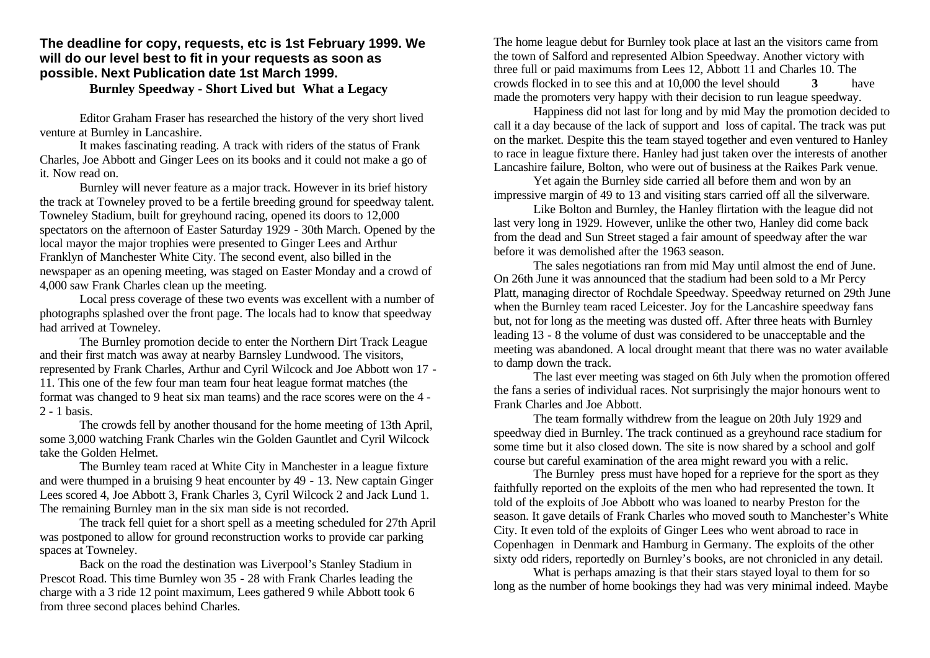#### **The deadline for copy, requests, etc is 1st February 1999. We will do our level best to fit in your requests as soon as possible. Next Publication date 1st March 1999.**

#### **Burnley Speedway - Short Lived but What a Legacy**

Editor Graham Fraser has researched the history of the very short lived venture at Burnley in Lancashire.

It makes fascinating reading. A track with riders of the status of Frank Charles, Joe Abbott and Ginger Lees on its books and it could not make a go of it. Now read on.

 Burnley will never feature as a major track. However in its brief history the track at Towneley proved to be a fertile breeding ground for speedway talent. Towneley Stadium, built for greyhound racing, opened its doors to 12,000 spectators on the afternoon of Easter Saturday 1929 - 30th March. Opened by the local mayor the major trophies were presented to Ginger Lees and Arthur Franklyn of Manchester White City. The second event, also billed in the newspaper as an opening meeting, was staged on Easter Monday and a crowd of 4,000 saw Frank Charles clean up the meeting.

Local press coverage of these two events was excellent with a number of photographs splashed over the front page. The locals had to know that speedway had arrived at Towneley.

The Burnley promotion decide to enter the Northern Dirt Track League and their first match was away at nearby Barnsley Lundwood. The visitors, represented by Frank Charles, Arthur and Cyril Wilcock and Joe Abbott won 17 - 11. This one of the few four man team four heat league format matches (the format was changed to 9 heat six man teams) and the race scores were on the 4 - 2 - 1 basis.

The crowds fell by another thousand for the home meeting of 13th April, some 3,000 watching Frank Charles win the Golden Gauntlet and Cyril Wilcock take the Golden Helmet.

The Burnley team raced at White City in Manchester in a league fixture and were thumped in a bruising 9 heat encounter by 49 - 13. New captain Ginger Lees scored 4, Joe Abbott 3, Frank Charles 3, Cyril Wilcock 2 and Jack Lund 1. The remaining Burnley man in the six man side is not recorded.

The track fell quiet for a short spell as a meeting scheduled for 27th April was postponed to allow for ground reconstruction works to provide car parking spaces at Towneley.

Back on the road the destination was Liverpool's Stanley Stadium in Prescot Road. This time Burnley won 35 - 28 with Frank Charles leading the charge with a 3 ride 12 point maximum, Lees gathered 9 while Abbott took 6 from three second places behind Charles.

The home league debut for Burnley took place at last an the visitors came from the town of Salford and represented Albion Speedway. Another victory with three full or paid maximums from Lees 12, Abbott 11 and Charles 10. The crowds flocked in to see this and at 10,000 the level should **3** have made the promoters very happy with their decision to run league speedway.

Happiness did not last for long and by mid May the promotion decided to call it a day because of the lack of support and loss of capital. The track was put on the market. Despite this the team stayed together and even ventured to Hanley to race in league fixture there. Hanley had just taken over the interests of another Lancashire failure, Bolton, who were out of business at the Raikes Park venue.

Yet again the Burnley side carried all before them and won by an impressive margin of 49 to 13 and visiting stars carried off all the silverware.

Like Bolton and Burnley, the Hanley flirtation with the league did not last very long in 1929. However, unlike the other two, Hanley did come back from the dead and Sun Street staged a fair amount of speedway after the war before it was demolished after the 1963 season.

The sales negotiations ran from mid May until almost the end of June. On 26th June it was announced that the stadium had been sold to a Mr Percy Platt, managing director of Rochdale Speedway. Speedway returned on 29th June when the Burnley team raced Leicester. Joy for the Lancashire speedway fans but, not for long as the meeting was dusted off. After three heats with Burnley leading 13 - 8 the volume of dust was considered to be unacceptable and the meeting was abandoned. A local drought meant that there was no water available to damp down the track.

The last ever meeting was staged on 6th July when the promotion offered the fans a series of individual races. Not surprisingly the major honours went to Frank Charles and Joe Abbott.

The team formally withdrew from the league on 20th July 1929 and speedway died in Burnley. The track continued as a greyhound race stadium for some time but it also closed down. The site is now shared by a school and golf course but careful examination of the area might reward you with a relic.

The Burnley press must have hoped for a reprieve for the sport as they faithfully reported on the exploits of the men who had represented the town. It told of the exploits of Joe Abbott who was loaned to nearby Preston for the season. It gave details of Frank Charles who moved south to Manchester's White City. It even told of the exploits of Ginger Lees who went abroad to race in Copenhagen in Denmark and Hamburg in Germany. The exploits of the other sixty odd riders, reportedly on Burnley's books, are not chronicled in any detail.

What is perhaps amazing is that their stars stayed loyal to them for so long as the number of home bookings they had was very minimal indeed. Maybe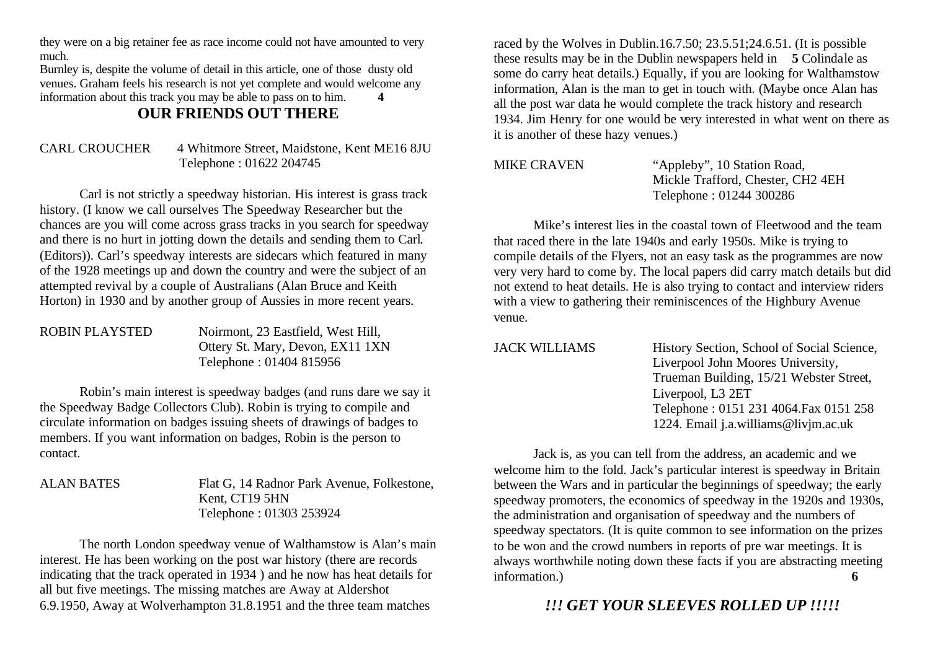they were on a big retainer fee as race income could not have amounted to very much.

Burnley is, despite the volume of detail in this article, one of those dusty old venues. Graham feels his research is not yet complete and would welcome any information about this track you may be able to pass on to him. **4**

# **OUR FRIENDS OUT THERE**

#### CARL CROUCHER 4 Whitmore Street, Maidstone, Kent ME16 8JU Telephone : 01622 204745

Carl is not strictly a speedway historian. His interest is grass track history. (I know we call ourselves The Speedway Researcher but the chances are you will come across grass tracks in you search for speedway and there is no hurt in jotting down the details and sending them to Carl. (Editors)). Carl's speedway interests are sidecars which featured in many of the 1928 meetings up and down the country and were the subject of an attempted revival by a couple of Australians (Alan Bruce and Keith Horton) in 1930 and by another group of Aussies in more recent years.

ROBIN PLAYSTED Noirmont, 23 Eastfield, West Hill, Ottery St. Mary, Devon, EX11 1XN Telephone : 01404 815956

Robin's main interest is speedway badges (and runs dare we say it the Speedway Badge Collectors Club). Robin is trying to compile and circulate information on badges issuing sheets of drawings of badges to members. If you want information on badges, Robin is the person to contact.

ALAN BATES Flat G, 14 Radnor Park Avenue, Folkestone, Kent, CT19 5HN Telephone : 01303 253924

The north London speedway venue of Walthamstow is Alan's main interest. He has been working on the post war history (there are records indicating that the track operated in 1934 ) and he now has heat details for all but five meetings. The missing matches are Away at Aldershot 6.9.1950, Away at Wolverhampton 31.8.1951 and the three team matches

raced by the Wolves in Dublin.16.7.50; 23.5.51;24.6.51. (It is possible these results may be in the Dublin newspapers held in **5** Colindale as some do carry heat details.) Equally, if you are looking for Walthamstow information, Alan is the man to get in touch with. (Maybe once Alan has all the post war data he would complete the track history and research 1934. Jim Henry for one would be very interested in what went on there as it is another of these hazy venues.)

MIKE CRAVEN "Appleby", 10 Station Road, Mickle Trafford, Chester, CH2 4EH Telephone : 01244 300286

Mike's interest lies in the coastal town of Fleetwood and the team that raced there in the late 1940s and early 1950s. Mike is trying to compile details of the Flyers, not an easy task as the programmes are now very very hard to come by. The local papers did carry match details but did not extend to heat details. He is also trying to contact and interview riders with a view to gathering their reminiscences of the Highbury Avenue venue.

JACK WILLIAMS History Section, School of Social Science, Liverpool John Moores University, Trueman Building, 15/21 Webster Street, Liverpool, L3 2ET Telephone : 0151 231 4064.Fax 0151 258 1224. Email j.a.williams@livjm.ac.uk

Jack is, as you can tell from the address, an academic and we welcome him to the fold. Jack's particular interest is speedway in Britain between the Wars and in particular the beginnings of speedway; the early speedway promoters, the economics of speedway in the 1920s and 1930s, the administration and organisation of speedway and the numbers of speedway spectators. (It is quite common to see information on the prizes to be won and the crowd numbers in reports of pre war meetings. It is always worthwhile noting down these facts if you are abstracting meeting information.) **6**

# *!!! GET YOUR SLEEVES ROLLED UP !!!!!*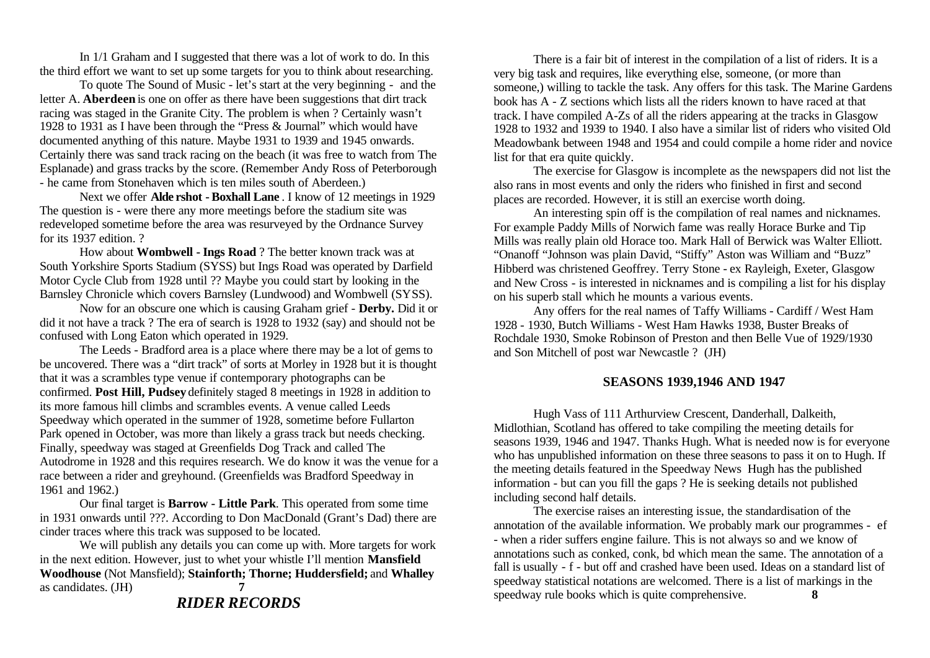In 1/1 Graham and I suggested that there was a lot of work to do. In this the third effort we want to set up some targets for you to think about researching.

To quote The Sound of Music - let's start at the very beginning - and the letter A. **Aberdeen** is one on offer as there have been suggestions that dirt track racing was staged in the Granite City. The problem is when ? Certainly wasn't 1928 to 1931 as I have been through the "Press & Journal" which would have documented anything of this nature. Maybe 1931 to 1939 and 1945 onwards. Certainly there was sand track racing on the beach (it was free to watch from The Esplanade) and grass tracks by the score. (Remember Andy Ross of Peterborough - he came from Stonehaven which is ten miles south of Aberdeen.)

Next we offer **Alde rshot - Boxhall Lane** . I know of 12 meetings in 1929 The question is - were there any more meetings before the stadium site was redeveloped sometime before the area was resurveyed by the Ordnance Survey for its 1937 edition. ?

How about **Wombwell - Ings Road** ? The better known track was at South Yorkshire Sports Stadium (SYSS) but Ings Road was operated by Darfield Motor Cycle Club from 1928 until ?? Maybe you could start by looking in the Barnsley Chronicle which covers Barnsley (Lundwood) and Wombwell (SYSS).

Now for an obscure one which is causing Graham grief - **Derby.** Did it or did it not have a track ? The era of search is 1928 to 1932 (say) and should not be confused with Long Eaton which operated in 1929.

The Leeds - Bradford area is a place where there may be a lot of gems to be uncovered. There was a "dirt track" of sorts at Morley in 1928 but it is thought that it was a scrambles type venue if contemporary photographs can be confirmed. **Post Hill, Pudsey** definitely staged 8 meetings in 1928 in addition to its more famous hill climbs and scrambles events. A venue called Leeds Speedway which operated in the summer of 1928, sometime before Fullarton Park opened in October, was more than likely a grass track but needs checking. Finally, speedway was staged at Greenfields Dog Track and called The Autodrome in 1928 and this requires research. We do know it was the venue for a race between a rider and greyhound. (Greenfields was Bradford Speedway in 1961 and 1962.)

Our final target is **Barrow - Little Park**. This operated from some time in 1931 onwards until ???. According to Don MacDonald (Grant's Dad) there are cinder traces where this track was supposed to be located.

We will publish any details you can come up with. More targets for work in the next edition. However, just to whet your whistle I'll mention **Mansfield Woodhouse** (Not Mansfield); **Stainforth; Thorne; Huddersfield;** and **Whalley**  as candidates. (JH) **7**

*RIDER RECORDS*

There is a fair bit of interest in the compilation of a list of riders. It is a very big task and requires, like everything else, someone, (or more than someone,) willing to tackle the task. Any offers for this task. The Marine Gardens book has A - Z sections which lists all the riders known to have raced at that track. I have compiled A-Zs of all the riders appearing at the tracks in Glasgow 1928 to 1932 and 1939 to 1940. I also have a similar list of riders who visited Old Meadowbank between 1948 and 1954 and could compile a home rider and novice list for that era quite quickly.

The exercise for Glasgow is incomplete as the newspapers did not list the also rans in most events and only the riders who finished in first and second places are recorded. However, it is still an exercise worth doing.

An interesting spin off is the compilation of real names and nicknames. For example Paddy Mills of Norwich fame was really Horace Burke and Tip Mills was really plain old Horace too. Mark Hall of Berwick was Walter Elliott. "Onanoff "Johnson was plain David, "Stiffy" Aston was William and "Buzz" Hibberd was christened Geoffrey. Terry Stone - ex Rayleigh, Exeter, Glasgow and New Cross - is interested in nicknames and is compiling a list for his display on his superb stall which he mounts a various events.

Any offers for the real names of Taffy Williams - Cardiff / West Ham 1928 - 1930, Butch Williams - West Ham Hawks 1938, Buster Breaks of Rochdale 1930, Smoke Robinson of Preston and then Belle Vue of 1929/1930 and Son Mitchell of post war Newcastle ? (JH)

#### **SEASONS 1939,1946 AND 1947**

Hugh Vass of 111 Arthurview Crescent, Danderhall, Dalkeith, Midlothian, Scotland has offered to take compiling the meeting details for seasons 1939, 1946 and 1947. Thanks Hugh. What is needed now is for everyone who has unpublished information on these three seasons to pass it on to Hugh. If the meeting details featured in the Speedway News Hugh has the published information - but can you fill the gaps ? He is seeking details not published including second half details.

The exercise raises an interesting issue, the standardisation of the annotation of the available information. We probably mark our programmes - ef - when a rider suffers engine failure. This is not always so and we know of annotations such as conked, conk, bd which mean the same. The annotation of a fall is usually - f - but off and crashed have been used. Ideas on a standard list of speedway statistical notations are welcomed. There is a list of markings in the speedway rule books which is quite comprehensive. **8**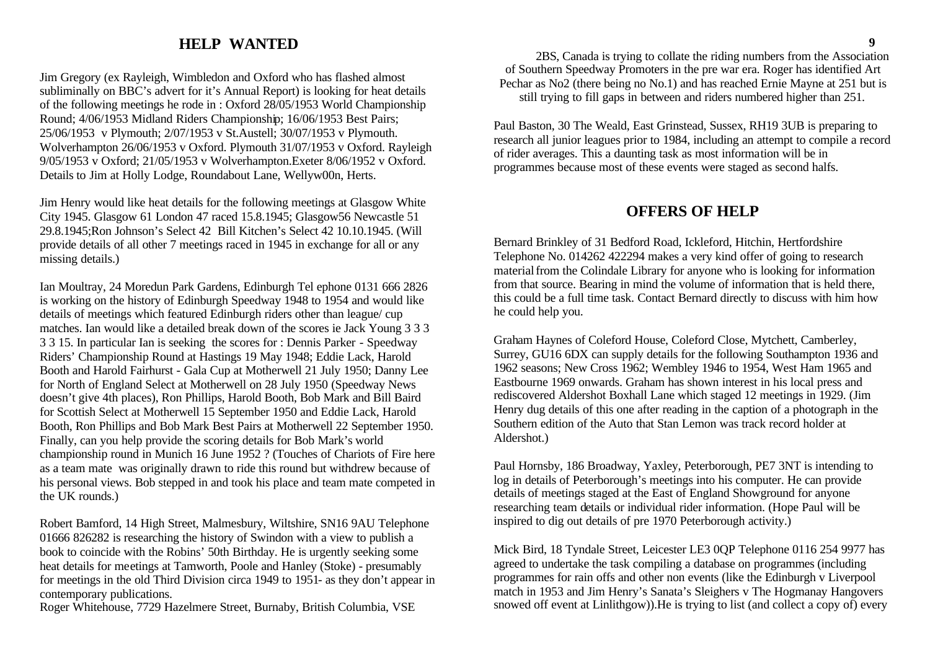# **HELP WANTED**

Jim Gregory (ex Rayleigh, Wimbledon and Oxford who has flashed almost subliminally on BBC's advert for it's Annual Report) is looking for heat details of the following meetings he rode in : Oxford 28/05/1953 World Championship Round; 4/06/1953 Midland Riders Championship; 16/06/1953 Best Pairs; 25/06/1953 v Plymouth; 2/07/1953 v St.Austell; 30/07/1953 v Plymouth. Wolverhampton 26/06/1953 v Oxford. Plymouth 31/07/1953 v Oxford. Rayleigh 9/05/1953 v Oxford; 21/05/1953 v Wolverhampton.Exeter 8/06/1952 v Oxford. Details to Jim at Holly Lodge, Roundabout Lane, Wellyw00n, Herts.

Jim Henry would like heat details for the following meetings at Glasgow White City 1945. Glasgow 61 London 47 raced 15.8.1945; Glasgow56 Newcastle 51 29.8.1945;Ron Johnson's Select 42 Bill Kitchen's Select 42 10.10.1945. (Will provide details of all other 7 meetings raced in 1945 in exchange for all or any missing details.)

Ian Moultray, 24 Moredun Park Gardens, Edinburgh Tel ephone 0131 666 2826 is working on the history of Edinburgh Speedway 1948 to 1954 and would like details of meetings which featured Edinburgh riders other than league/ cup matches. Ian would like a detailed break down of the scores ie Jack Young 3 3 3 3 3 15. In particular Ian is seeking the scores for : Dennis Parker - Speedway Riders' Championship Round at Hastings 19 May 1948; Eddie Lack, Harold Booth and Harold Fairhurst - Gala Cup at Motherwell 21 July 1950; Danny Lee for North of England Select at Motherwell on 28 July 1950 (Speedway News doesn't give 4th places), Ron Phillips, Harold Booth, Bob Mark and Bill Baird for Scottish Select at Motherwell 15 September 1950 and Eddie Lack, Harold Booth, Ron Phillips and Bob Mark Best Pairs at Motherwell 22 September 1950. Finally, can you help provide the scoring details for Bob Mark's world championship round in Munich 16 June 1952 ? (Touches of Chariots of Fire here as a team mate was originally drawn to ride this round but withdrew because of his personal views. Bob stepped in and took his place and team mate competed in the UK rounds.)

Robert Bamford, 14 High Street, Malmesbury, Wiltshire, SN16 9AU Telephone 01666 826282 is researching the history of Swindon with a view to publish a book to coincide with the Robins' 50th Birthday. He is urgently seeking some heat details for meetings at Tamworth, Poole and Hanley (Stoke) - presumably for meetings in the old Third Division circa 1949 to 1951- as they don't appear in contemporary publications.

Roger Whitehouse, 7729 Hazelmere Street, Burnaby, British Columbia, VSE

2BS, Canada is trying to collate the riding numbers from the Association of Southern Speedway Promoters in the pre war era. Roger has identified Art Pechar as No2 (there being no No.1) and has reached Ernie Mayne at 251 but is still trying to fill gaps in between and riders numbered higher than 251.

Paul Baston, 30 The Weald, East Grinstead, Sussex, RH19 3UB is preparing to research all junior leagues prior to 1984, including an attempt to compile a record of rider averages. This a daunting task as most information will be in programmes because most of these events were staged as second halfs.

#### **OFFERS OF HELP**

Bernard Brinkley of 31 Bedford Road, Ickleford, Hitchin, Hertfordshire Telephone No. 014262 422294 makes a very kind offer of going to research material from the Colindale Library for anyone who is looking for information from that source. Bearing in mind the volume of information that is held there, this could be a full time task. Contact Bernard directly to discuss with him how he could help you.

Graham Haynes of Coleford House, Coleford Close, Mytchett, Camberley, Surrey, GU16 6DX can supply details for the following Southampton 1936 and 1962 seasons; New Cross 1962; Wembley 1946 to 1954, West Ham 1965 and Eastbourne 1969 onwards. Graham has shown interest in his local press and rediscovered Aldershot Boxhall Lane which staged 12 meetings in 1929. (Jim Henry dug details of this one after reading in the caption of a photograph in the Southern edition of the Auto that Stan Lemon was track record holder at Aldershot.)

Paul Hornsby, 186 Broadway, Yaxley, Peterborough, PE7 3NT is intending to log in details of Peterborough's meetings into his computer. He can provide details of meetings staged at the East of England Showground for anyone researching team details or individual rider information. (Hope Paul will be inspired to dig out details of pre 1970 Peterborough activity.)

Mick Bird, 18 Tyndale Street, Leicester LE3 0QP Telephone 0116 254 9977 has agreed to undertake the task compiling a database on programmes (including programmes for rain offs and other non events (like the Edinburgh v Liverpool match in 1953 and Jim Henry's Sanata's Sleighers v The Hogmanay Hangovers snowed off event at Linlithgow)).He is trying to list (and collect a copy of) every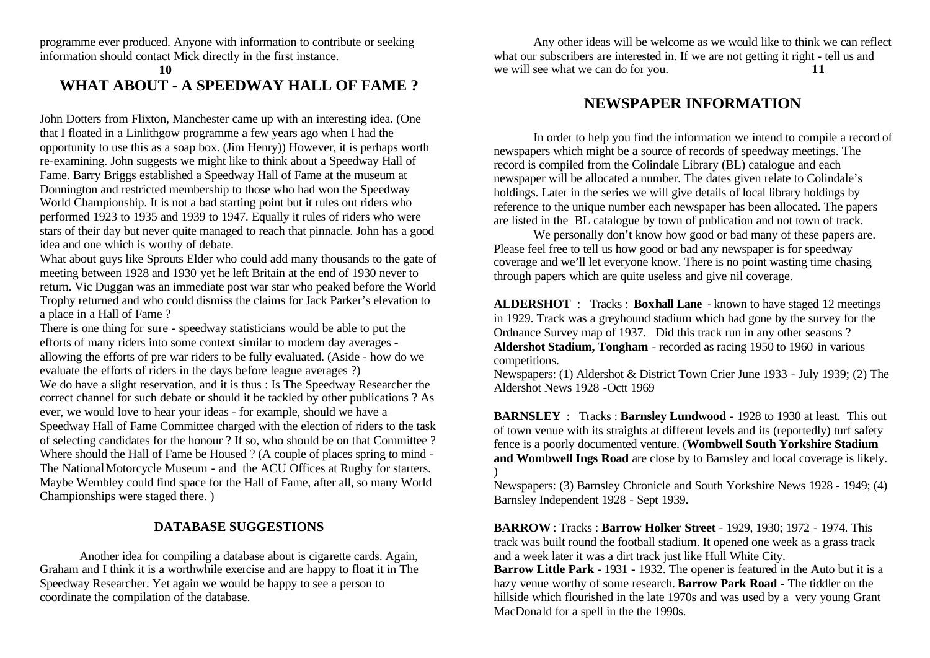programme ever produced. Anyone with information to contribute or seeking information should contact Mick directly in the first instance.

#### **10 WHAT ABOUT - A SPEEDWAY HALL OF FAME ?**

John Dotters from Flixton, Manchester came up with an interesting idea. (One that I floated in a Linlithgow programme a few years ago when I had the opportunity to use this as a soap box. (Jim Henry)) However, it is perhaps worth re-examining. John suggests we might like to think about a Speedway Hall of Fame. Barry Briggs established a Speedway Hall of Fame at the museum at Donnington and restricted membership to those who had won the Speedway World Championship. It is not a bad starting point but it rules out riders who performed 1923 to 1935 and 1939 to 1947. Equally it rules of riders who were stars of their day but never quite managed to reach that pinnacle. John has a good idea and one which is worthy of debate.

What about guys like Sprouts Elder who could add many thousands to the gate of meeting between 1928 and 1930 yet he left Britain at the end of 1930 never to return. Vic Duggan was an immediate post war star who peaked before the World Trophy returned and who could dismiss the claims for Jack Parker's elevation to a place in a Hall of Fame ?

There is one thing for sure - speedway statisticians would be able to put the efforts of many riders into some context similar to modern day averages allowing the efforts of pre war riders to be fully evaluated. (Aside - how do we evaluate the efforts of riders in the days before league averages ?) We do have a slight reservation, and it is thus : Is The Speedway Researcher the correct channel for such debate or should it be tackled by other publications ? As ever, we would love to hear your ideas - for example, should we have a Speedway Hall of Fame Committee charged with the election of riders to the task of selecting candidates for the honour ? If so, who should be on that Committee ? Where should the Hall of Fame be Housed ? (A couple of places spring to mind - The National Motorcycle Museum - and the ACU Offices at Rugby for starters. Maybe Wembley could find space for the Hall of Fame, after all, so many World Championships were staged there. )

#### **DATABASE SUGGESTIONS**

Another idea for compiling a database about is cigarette cards. Again, Graham and I think it is a worthwhile exercise and are happy to float it in The Speedway Researcher. Yet again we would be happy to see a person to coordinate the compilation of the database.

Any other ideas will be welcome as we would like to think we can reflect what our subscribers are interested in. If we are not getting it right - tell us and we will see what we can do for you. **11**

# **NEWSPAPER INFORMATION**

In order to help you find the information we intend to compile a record of newspapers which might be a source of records of speedway meetings. The record is compiled from the Colindale Library (BL) catalogue and each newspaper will be allocated a number. The dates given relate to Colindale's holdings. Later in the series we will give details of local library holdings by reference to the unique number each newspaper has been allocated. The papers are listed in the BL catalogue by town of publication and not town of track.

We personally don't know how good or bad many of these papers are. Please feel free to tell us how good or bad any newspaper is for speedway coverage and we'll let everyone know. There is no point wasting time chasing through papers which are quite useless and give nil coverage.

**ALDERSHOT** : Tracks : **Boxhall Lane** - known to have staged 12 meetings in 1929. Track was a greyhound stadium which had gone by the survey for the Ordnance Survey map of 1937. Did this track run in any other seasons ? **Aldershot Stadium, Tongham** - recorded as racing 1950 to 1960 in various competitions.

Newspapers: (1) Aldershot & District Town Crier June 1933 - July 1939; (2) The Aldershot News 1928 -Octt 1969

**BARNSLEY** : Tracks : **Barnsley Lundwood** - 1928 to 1930 at least. This out of town venue with its straights at different levels and its (reportedly) turf safety fence is a poorly documented venture. (**Wombwell South Yorkshire Stadium and Wombwell Ings Road** are close by to Barnsley and local coverage is likely. )

Newspapers: (3) Barnsley Chronicle and South Yorkshire News 1928 - 1949; (4) Barnsley Independent 1928 - Sept 1939.

**BARROW** : Tracks : **Barrow Holker Street** - 1929, 1930; 1972 - 1974. This track was built round the football stadium. It opened one week as a grass track and a week later it was a dirt track just like Hull White City.

**Barrow Little Park** - 1931 - 1932. The opener is featured in the Auto but it is a hazy venue worthy of some research. **Barrow Park Road** - The tiddler on the hillside which flourished in the late 1970s and was used by a very young Grant MacDonald for a spell in the the 1990s.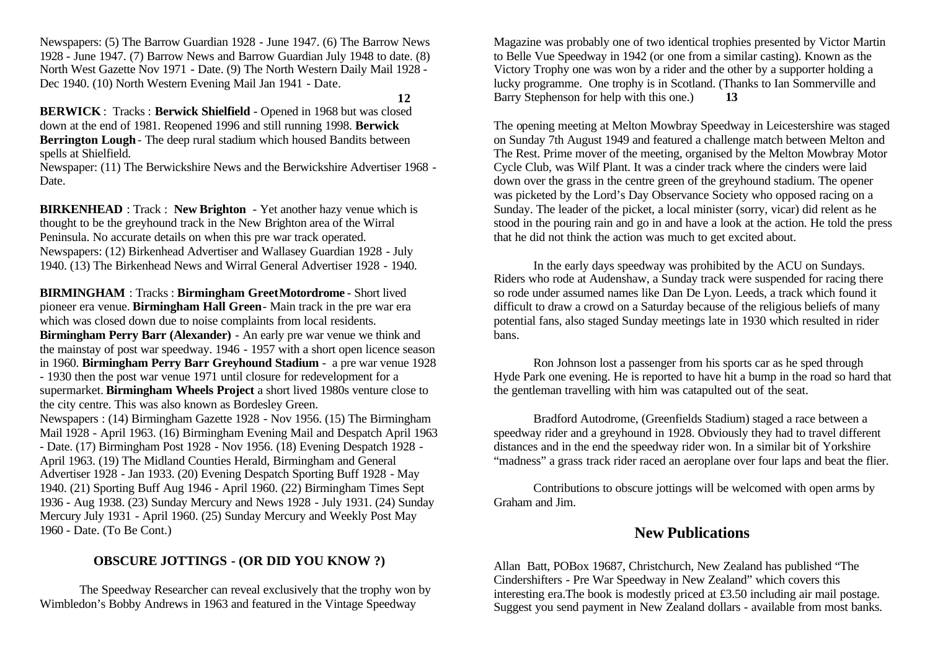Newspapers: (5) The Barrow Guardian 1928 - June 1947. (6) The Barrow News 1928 - June 1947. (7) Barrow News and Barrow Guardian July 1948 to date. (8) North West Gazette Nov 1971 - Date. (9) The North Western Daily Mail 1928 - Dec 1940. (10) North Western Evening Mail Jan 1941 - Date.

**12**

**BERWICK** : Tracks : **Berwick Shielfield** - Opened in 1968 but was closed down at the end of 1981. Reopened 1996 and still running 1998. **Berwick Berrington Lough**- The deep rural stadium which housed Bandits between spells at Shielfield.

Newspaper: (11) The Berwickshire News and the Berwickshire Advertiser 1968 - Date.

**BIRKENHEAD** : Track : **New Brighton** - Yet another hazy venue which is thought to be the greyhound track in the New Brighton area of the Wirral Peninsula. No accurate details on when this pre war track operated. Newspapers: (12) Birkenhead Advertiser and Wallasey Guardian 1928 - July 1940. (13) The Birkenhead News and Wirral General Advertiser 1928 - 1940.

**BIRMINGHAM** : Tracks : **Birmingham GreetMotordrome** - Short lived pioneer era venue. **Birmingham Hall Green**- Main track in the pre war era which was closed down due to noise complaints from local residents. **Birmingham Perry Barr (Alexander)** - An early pre war venue we think and the mainstay of post war speedway. 1946 - 1957 with a short open licence season in 1960. **Birmingham Perry Barr Greyhound Stadium** - a pre war venue 1928 - 1930 then the post war venue 1971 until closure for redevelopment for a supermarket. **Birmingham Wheels Project** a short lived 1980s venture close to the city centre. This was also known as Bordesley Green. Newspapers : (14) Birmingham Gazette 1928 - Nov 1956. (15) The Birmingham Mail 1928 - April 1963. (16) Birmingham Evening Mail and Despatch April 1963 - Date. (17) Birmingham Post 1928 - Nov 1956. (18) Evening Despatch 1928 - April 1963. (19) The Midland Counties Herald, Birmingham and General Advertiser 1928 - Jan 1933. (20) Evening Despatch Sporting Buff 1928 - May 1940. (21) Sporting Buff Aug 1946 - April 1960. (22) Birmingham Times Sept 1936 - Aug 1938. (23) Sunday Mercury and News 1928 - July 1931. (24) Sunday Mercury July 1931 - April 1960. (25) Sunday Mercury and Weekly Post May 1960 - Date. (To Be Cont.)

#### **OBSCURE JOTTINGS - (OR DID YOU KNOW ?)**

The Speedway Researcher can reveal exclusively that the trophy won by Wimbledon's Bobby Andrews in 1963 and featured in the Vintage Speedway

Magazine was probably one of two identical trophies presented by Victor Martin to Belle Vue Speedway in 1942 (or one from a similar casting). Known as the Victory Trophy one was won by a rider and the other by a supporter holding a lucky programme. One trophy is in Scotland. (Thanks to Ian Sommerville and Barry Stephenson for help with this one.) **13**

The opening meeting at Melton Mowbray Speedway in Leicestershire was staged on Sunday 7th August 1949 and featured a challenge match between Melton and The Rest. Prime mover of the meeting, organised by the Melton Mowbray Motor Cycle Club, was Wilf Plant. It was a cinder track where the cinders were laid down over the grass in the centre green of the greyhound stadium. The opener was picketed by the Lord's Day Observance Society who opposed racing on a Sunday. The leader of the picket, a local minister (sorry, vicar) did relent as he stood in the pouring rain and go in and have a look at the action. He told the press that he did not think the action was much to get excited about.

In the early days speedway was prohibited by the ACU on Sundays. Riders who rode at Audenshaw, a Sunday track were suspended for racing there so rode under assumed names like Dan De Lyon. Leeds, a track which found it difficult to draw a crowd on a Saturday because of the religious beliefs of many potential fans, also staged Sunday meetings late in 1930 which resulted in rider bans.

Ron Johnson lost a passenger from his sports car as he sped through Hyde Park one evening. He is reported to have hit a bump in the road so hard that the gentleman travelling with him was catapulted out of the seat.

Bradford Autodrome, (Greenfields Stadium) staged a race between a speedway rider and a greyhound in 1928. Obviously they had to travel different distances and in the end the speedway rider won. In a similar bit of Yorkshire "madness" a grass track rider raced an aeroplane over four laps and beat the flier.

Contributions to obscure jottings will be welcomed with open arms by Graham and Jim.

### **New Publications**

Allan Batt, POBox 19687, Christchurch, New Zealand has published "The Cindershifters - Pre War Speedway in New Zealand" which covers this interesting era.The book is modestly priced at £3.50 including air mail postage. Suggest you send payment in New Zealand dollars - available from most banks.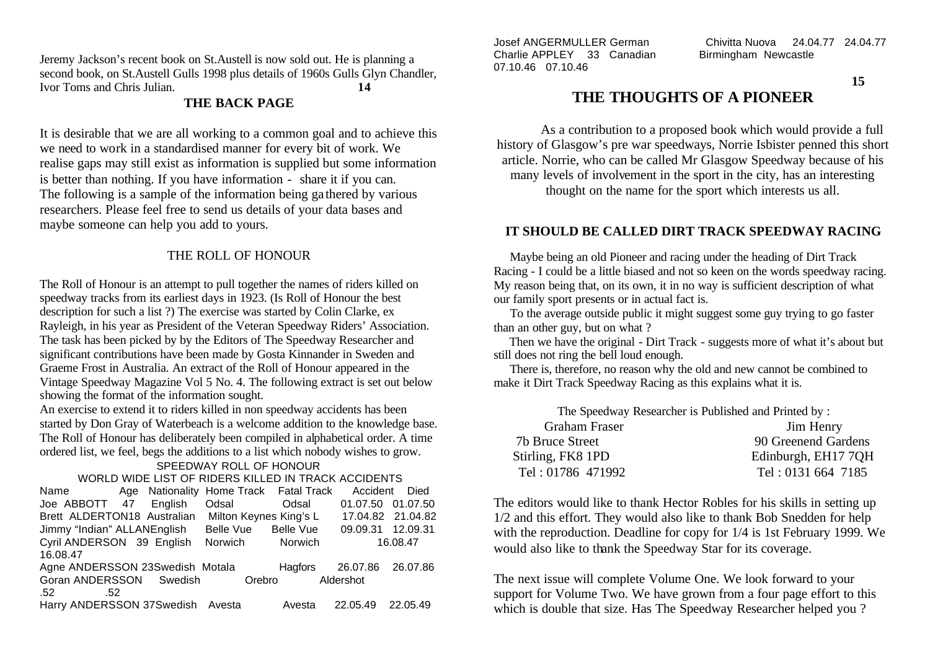Jeremy Jackson's recent book on St.Austell is now sold out. He is planning a second book, on St.Austell Gulls 1998 plus details of 1960s Gulls Glyn Chandler, Ivor Toms and Chris Julian. **14**

#### **THE BACK PAGE**

It is desirable that we are all working to a common goal and to achieve this we need to work in a standardised manner for every bit of work. We realise gaps may still exist as information is supplied but some information is better than nothing. If you have information - share it if you can. The following is a sample of the information being ga thered by various researchers. Please feel free to send us details of your data bases and maybe someone can help you add to yours.

#### THE ROLL OF HONOUR

The Roll of Honour is an attempt to pull together the names of riders killed on speedway tracks from its earliest days in 1923. (Is Roll of Honour the best description for such a list ?) The exercise was started by Colin Clarke, ex Rayleigh, in his year as President of the Veteran Speedway Riders' Association. The task has been picked by by the Editors of The Speedway Researcher and significant contributions have been made by Gosta Kinnander in Sweden and Graeme Frost in Australia. An extract of the Roll of Honour appeared in the Vintage Speedway Magazine Vol 5 No. 4. The following extract is set out below showing the format of the information sought.

An exercise to extend it to riders killed in non speedway accidents has been started by Don Gray of Waterbeach is a welcome addition to the knowledge base. The Roll of Honour has deliberately been compiled in alphabetical order. A time ordered list, we feel, begs the additions to a list which nobody wishes to grow.

#### SPEEDWAY ROLL OF HONOUR

#### WORLD WIDE LIST OF RIDERS KILLED IN TRACK ACCIDENTS

| 01.07.50 01.07.50 |
|-------------------|
|                   |
| 17.04.82 21.04.82 |
| 09.09.31 12.09.31 |
| 16.08.47          |
|                   |
| 26.07.86          |
|                   |
|                   |
| 22.05.49          |
|                   |

Charlie APPLEY 33 Canadian Birmingham Newcastle 07.10.46 07.10.46

Josef ANGERMULLER German Chivitta Nuova 24.04.77 24.04.77

**15**

# **THE THOUGHTS OF A PIONEER**

As a contribution to a proposed book which would provide a full history of Glasgow's pre war speedways, Norrie Isbister penned this short article. Norrie, who can be called Mr Glasgow Speedway because of his many levels of involvement in the sport in the city, has an interesting thought on the name for the sport which interests us all.

#### **IT SHOULD BE CALLED DIRT TRACK SPEEDWAY RACING**

 Maybe being an old Pioneer and racing under the heading of Dirt Track Racing - I could be a little biased and not so keen on the words speedway racing. My reason being that, on its own, it in no way is sufficient description of what our family sport presents or in actual fact is.

 To the average outside public it might suggest some guy trying to go faster than an other guy, but on what ?

 Then we have the original - Dirt Track - suggests more of what it's about but still does not ring the bell loud enough.

 There is, therefore, no reason why the old and new cannot be combined to make it Dirt Track Speedway Racing as this explains what it is.

The Speedway Researcher is Published and Printed by :

| Jim Henry           |
|---------------------|
| 90 Greenend Gardens |
| Edinburgh, EH17 7QH |
| Tel: 0131 664 7185  |
|                     |

The editors would like to thank Hector Robles for his skills in setting up 1/2 and this effort. They would also like to thank Bob Snedden for help with the reproduction. Deadline for copy for 1/4 is 1st February 1999. We would also like to thank the Speedway Star for its coverage.

The next issue will complete Volume One. We look forward to your support for Volume Two. We have grown from a four page effort to this which is double that size. Has The Speedway Researcher helped you ?